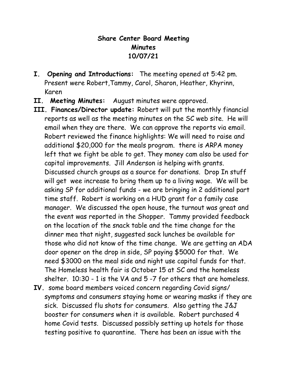## **Share Center Board Meeting Minutes 10/07/21**

- **I. Opening and Introductions:** The meeting opened at 5:42 pm. Present were Robert,Tammy, Carol, Sharon, Heather, Khyrinn, Karen
- **II. Meeting Minutes:** August minutes were approved.
- **III. Finances/Director update:** Robert will put the monthly financial reports as well as the meeting minutes on the SC web site. He will email when they are there. We can approve the reports via email. Robert reviewed the finance highlights: We will need to raise and additional \$20,000 for the meals program. there is ARPA money left that we fight be able to get. They money cam also be used for capital improvements. Jill Anderson is helping with grants. Discussed church groups as a source for donations. Drop In stuff will get wee increase to bring them up to a living wage. We will be asking SP for additional funds - we are bringing in 2 additional part time staff. Robert is working on a HUD grant for a family case manager. We discussed the open house, the turnout was great and the event was reported in the Shopper. Tammy provided feedback on the location of the snack table and the time change for the dinner mea that night, suggested sack lunches be available for those who did not know of the time change. We are getting an ADA door opener on the drop in side, SP paying \$5000 for that. We need \$3000 on the meal side and night use capital funds for that. The Homeless health fair is October 15 at SC and the homeless shelter. 10:30 - 1 is the VA and 5 -7 for others that are homeless.
- **IV.** some board members voiced concern regarding Covid signs/ symptoms and consumers staying home or wearing masks if they are sick. Discussed flu shots for consumers. Also getting the J&J booster for consumers when it is available. Robert purchased 4 home Covid tests. Discussed possibly setting up hotels for those testing positive to quarantine. There has been an issue with the